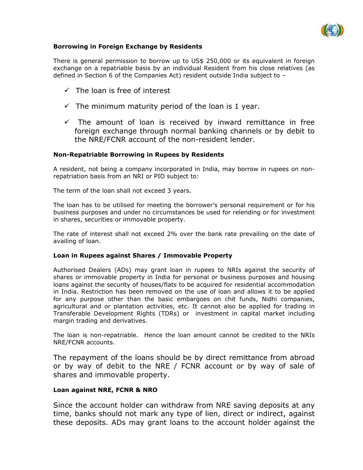

# **Borrowing in Foreign Exchange by Residents**

There is general permission to borrow up to US\$ 250,000 or its equivalent in foreign exchange on a repatriable basis by an individual Resident from his close relatives (as defined in Section 6 of the Companies Act) resident outside India subject to –

- $\checkmark$  The loan is free of interest
- $\checkmark$  The minimum maturity period of the loan is 1 year.
- $\checkmark$  The amount of loan is received by inward remittance in free foreign exchange through normal banking channels or by debit to the NRE/FCNR account of the non-resident lender.

## **Non-Repatriable Borrowing in Rupees by Residents**

A resident, not being a company incorporated in India, may borrow in rupees on nonrepatriation basis from an NRI or PIO subject to:

The term of the loan shall not exceed 3 years.

The loan has to be utilised for meeting the borrower's personal requirement or for his business purposes and under no circumstances be used for relending or for investment in shares, securities or immovable property.

The rate of interest shall not exceed 2% over the bank rate prevailing on the date of availing of loan.

## **Loan in Rupees against Shares / Immovable Property**

Authorised Dealers (ADs) may grant loan in rupees to NRIs against the security of shares or immovable property in India for personal or business purposes and housing loans against the security of houses/flats to be acquired for residential accommodation in India. Restriction has been removed on the use of loan and allows it to be applied for any purpose other than the basic embargoes on chit funds, Nidhi companies, agricultural and or plantation activities, etc. It cannot also be applied for trading in Transferable Development Rights (TDRs) or investment in capital market including margin trading and derivatives.

The loan is non-repatriable. Hence the loan amount cannot be credited to the NRIs NRE/FCNR accounts.

The repayment of the loans should be by direct remittance from abroad or by way of debit to the NRE / FCNR account or by way of sale of shares and immovable property.

## **Loan against NRE, FCNR & NRO**

Since the account holder can withdraw from NRE saving deposits at any time, banks should not mark any type of lien, direct or indirect, against these deposits. ADs may grant loans to the account holder against the